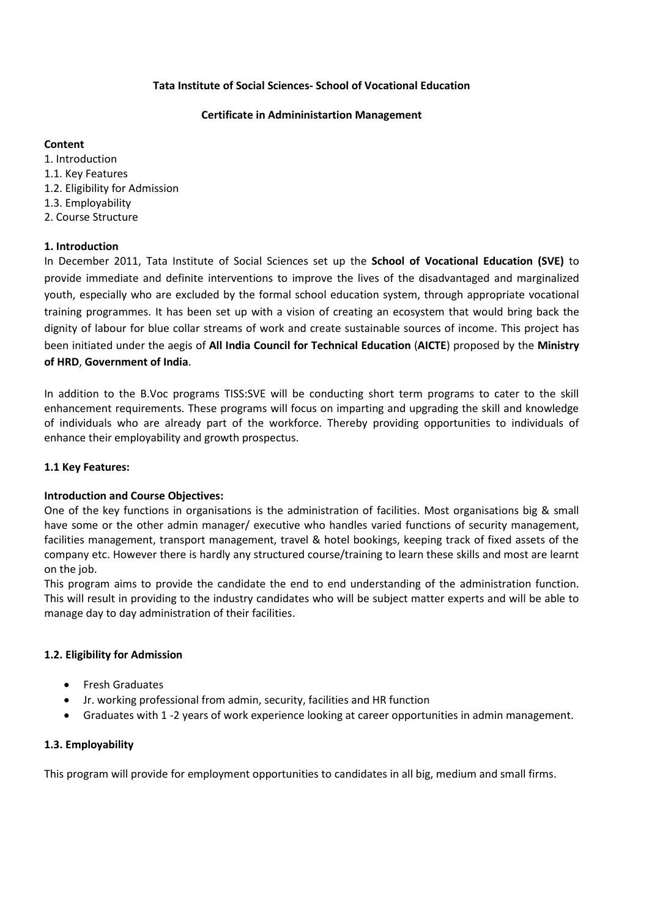## **Tata Institute of Social Sciences- School of Vocational Education**

## **Certificate in Admininistartion Management**

## **Content**

1. Introduction 1.1. Key Features 1.2. Eligibility for Admission 1.3. Employability 2. Course Structure

# **1. Introduction**

In December 2011, Tata Institute of Social Sciences set up the **School of Vocational Education (SVE)** to provide immediate and definite interventions to improve the lives of the disadvantaged and marginalized youth, especially who are excluded by the formal school education system, through appropriate vocational training programmes. It has been set up with a vision of creating an ecosystem that would bring back the dignity of labour for blue collar streams of work and create sustainable sources of income. This project has been initiated under the aegis of **All India Council for Technical Education** (**AICTE**) proposed by the **Ministry of HRD**, **Government of India**.

In addition to the B.Voc programs TISS:SVE will be conducting short term programs to cater to the skill enhancement requirements. These programs will focus on imparting and upgrading the skill and knowledge of individuals who are already part of the workforce. Thereby providing opportunities to individuals of enhance their employability and growth prospectus.

# **1.1 Key Features:**

# **Introduction and Course Objectives:**

One of the key functions in organisations is the administration of facilities. Most organisations big & small have some or the other admin manager/ executive who handles varied functions of security management, facilities management, transport management, travel & hotel bookings, keeping track of fixed assets of the company etc. However there is hardly any structured course/training to learn these skills and most are learnt on the job.

This program aims to provide the candidate the end to end understanding of the administration function. This will result in providing to the industry candidates who will be subject matter experts and will be able to manage day to day administration of their facilities.

# **1.2. Eligibility for Admission**

- Fresh Graduates
- Jr. working professional from admin, security, facilities and HR function
- Graduates with 1 -2 years of work experience looking at career opportunities in admin management.

# **1.3. Employability**

This program will provide for employment opportunities to candidates in all big, medium and small firms.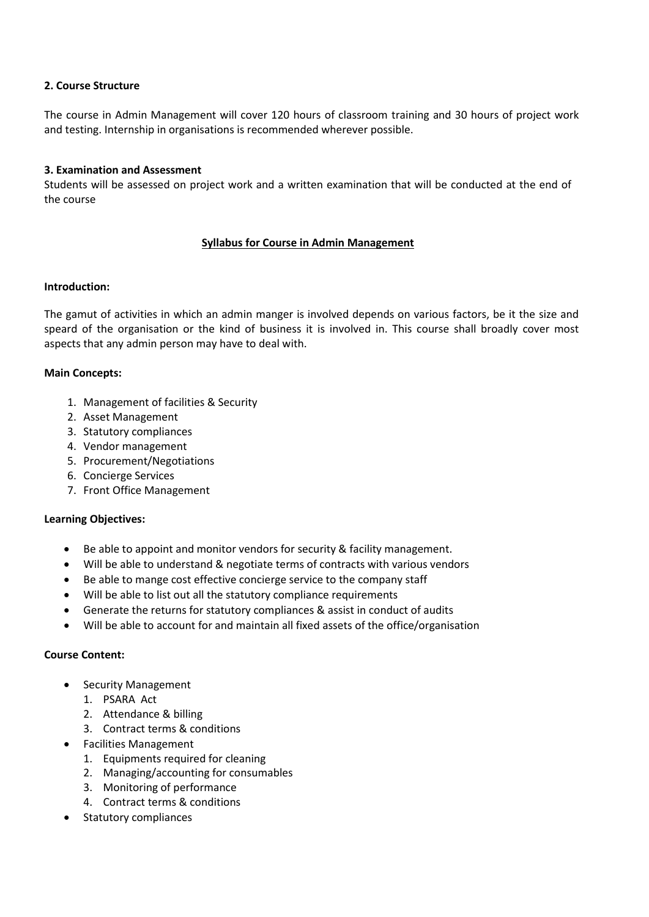## **2. Course Structure**

The course in Admin Management will cover 120 hours of classroom training and 30 hours of project work and testing. Internship in organisations is recommended wherever possible.

## **3. Examination and Assessment**

Students will be assessed on project work and a written examination that will be conducted at the end of the course

# **Syllabus for Course in Admin Management**

### **Introduction:**

The gamut of activities in which an admin manger is involved depends on various factors, be it the size and speard of the organisation or the kind of business it is involved in. This course shall broadly cover most aspects that any admin person may have to deal with.

### **Main Concepts:**

- 1. Management of facilities & Security
- 2. Asset Management
- 3. Statutory compliances
- 4. Vendor management
- 5. Procurement/Negotiations
- 6. Concierge Services
- 7. Front Office Management

### **Learning Objectives:**

- Be able to appoint and monitor vendors for security & facility management.
- Will be able to understand & negotiate terms of contracts with various vendors
- Be able to mange cost effective concierge service to the company staff
- Will be able to list out all the statutory compliance requirements
- Generate the returns for statutory compliances & assist in conduct of audits
- Will be able to account for and maintain all fixed assets of the office/organisation

### **Course Content:**

- Security Management
	- 1. PSARA Act
	- 2. Attendance & billing
	- 3. Contract terms & conditions
- Facilities Management
	- 1. Equipments required for cleaning
	- 2. Managing/accounting for consumables
	- 3. Monitoring of performance
	- 4. Contract terms & conditions
- Statutory compliances